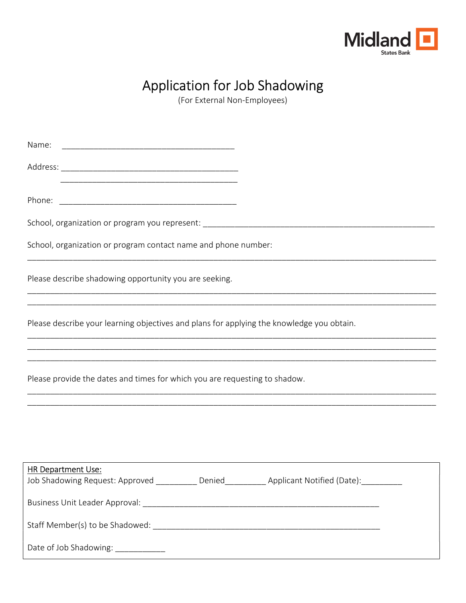

# Application for Job Shadowing

(For External Non-Employees)

Name: \_\_\_\_\_\_\_\_\_\_\_\_\_\_\_\_\_\_\_\_\_\_\_\_\_\_\_\_\_\_\_\_\_\_\_\_\_\_ Address: \_\_\_\_\_\_\_\_\_\_\_\_\_\_\_\_\_\_\_\_\_\_\_\_\_\_\_\_\_\_\_\_\_\_\_\_\_\_\_  $\overline{\phantom{a}}$  ,  $\overline{\phantom{a}}$  ,  $\overline{\phantom{a}}$  ,  $\overline{\phantom{a}}$  ,  $\overline{\phantom{a}}$  ,  $\overline{\phantom{a}}$  ,  $\overline{\phantom{a}}$  ,  $\overline{\phantom{a}}$  ,  $\overline{\phantom{a}}$  ,  $\overline{\phantom{a}}$  ,  $\overline{\phantom{a}}$  ,  $\overline{\phantom{a}}$  ,  $\overline{\phantom{a}}$  ,  $\overline{\phantom{a}}$  ,  $\overline{\phantom{a}}$  ,  $\overline{\phantom{a}}$ Phone:  $\blacksquare$ School, organization or program you represent: \_\_\_\_\_\_\_\_\_\_\_\_\_\_\_\_\_\_\_\_\_\_\_\_\_\_\_\_\_\_\_\_\_\_\_\_\_\_\_\_\_\_\_\_\_\_\_\_\_\_\_ School, organization or program contact name and phone number: \_\_\_\_\_\_\_\_\_\_\_\_\_\_\_\_\_\_\_\_\_\_\_\_\_\_\_\_\_\_\_\_\_\_\_\_\_\_\_\_\_\_\_\_\_\_\_\_\_\_\_\_\_\_\_\_\_\_\_\_\_\_\_\_\_\_\_\_\_\_\_\_\_\_\_\_\_\_\_\_\_\_\_\_\_\_\_\_\_\_ Please describe shadowing opportunity you are seeking. \_\_\_\_\_\_\_\_\_\_\_\_\_\_\_\_\_\_\_\_\_\_\_\_\_\_\_\_\_\_\_\_\_\_\_\_\_\_\_\_\_\_\_\_\_\_\_\_\_\_\_\_\_\_\_\_\_\_\_\_\_\_\_\_\_\_\_\_\_\_\_\_\_\_\_\_\_\_\_\_\_\_\_\_\_\_\_\_\_\_ \_\_\_\_\_\_\_\_\_\_\_\_\_\_\_\_\_\_\_\_\_\_\_\_\_\_\_\_\_\_\_\_\_\_\_\_\_\_\_\_\_\_\_\_\_\_\_\_\_\_\_\_\_\_\_\_\_\_\_\_\_\_\_\_\_\_\_\_\_\_\_\_\_\_\_\_\_\_\_\_\_\_\_\_\_\_\_\_\_\_ Please describe your learning objectives and plans for applying the knowledge you obtain. \_\_\_\_\_\_\_\_\_\_\_\_\_\_\_\_\_\_\_\_\_\_\_\_\_\_\_\_\_\_\_\_\_\_\_\_\_\_\_\_\_\_\_\_\_\_\_\_\_\_\_\_\_\_\_\_\_\_\_\_\_\_\_\_\_\_\_\_\_\_\_\_\_\_\_\_\_\_\_\_\_\_\_\_\_\_\_\_\_\_ \_\_\_\_\_\_\_\_\_\_\_\_\_\_\_\_\_\_\_\_\_\_\_\_\_\_\_\_\_\_\_\_\_\_\_\_\_\_\_\_\_\_\_\_\_\_\_\_\_\_\_\_\_\_\_\_\_\_\_\_\_\_\_\_\_\_\_\_\_\_\_\_\_\_\_\_\_\_\_\_\_\_\_\_\_\_\_\_\_\_ \_\_\_\_\_\_\_\_\_\_\_\_\_\_\_\_\_\_\_\_\_\_\_\_\_\_\_\_\_\_\_\_\_\_\_\_\_\_\_\_\_\_\_\_\_\_\_\_\_\_\_\_\_\_\_\_\_\_\_\_\_\_\_\_\_\_\_\_\_\_\_\_\_\_\_\_\_\_\_\_\_\_\_\_\_\_\_\_\_\_ Please provide the dates and times for which you are requesting to shadow. \_\_\_\_\_\_\_\_\_\_\_\_\_\_\_\_\_\_\_\_\_\_\_\_\_\_\_\_\_\_\_\_\_\_\_\_\_\_\_\_\_\_\_\_\_\_\_\_\_\_\_\_\_\_\_\_\_\_\_\_\_\_\_\_\_\_\_\_\_\_\_\_\_\_\_\_\_\_\_\_\_\_\_\_\_\_\_\_\_\_ \_\_\_\_\_\_\_\_\_\_\_\_\_\_\_\_\_\_\_\_\_\_\_\_\_\_\_\_\_\_\_\_\_\_\_\_\_\_\_\_\_\_\_\_\_\_\_\_\_\_\_\_\_\_\_\_\_\_\_\_\_\_\_\_\_\_\_\_\_\_\_\_\_\_\_\_\_\_\_\_\_\_\_\_\_\_\_\_\_\_ HR Department Use: Job Shadowing Request: Approved \_\_\_\_\_\_\_\_\_\_ Denied\_\_\_\_\_\_\_\_\_\_ Applicant Notified (Date): \_\_\_\_\_\_\_\_\_ Business Unit Leader Approval: Leader Leader and Allen and Allen and Allen and Allen and Allen and Allen and A Staff Member(s) to be Shadowed: \_\_\_\_\_\_\_\_\_\_\_\_\_\_\_\_\_\_\_\_\_\_\_\_\_\_\_\_\_\_\_\_\_\_\_\_\_\_\_\_\_\_\_\_\_\_\_\_\_\_ Date of Job Shadowing: \_\_\_\_\_\_\_\_\_\_\_\_\_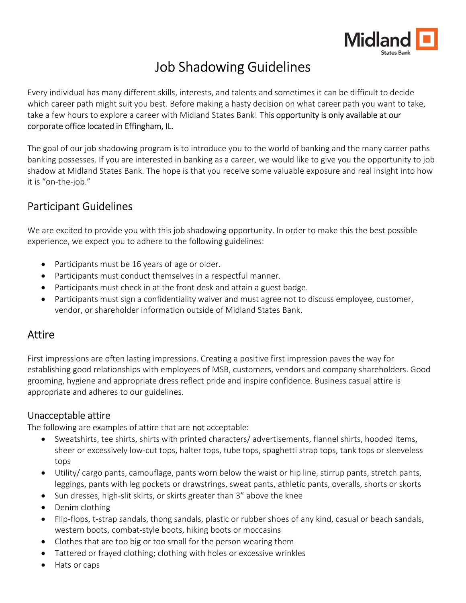

# Job Shadowing Guidelines

Every individual has many different skills, interests, and talents and sometimes it can be difficult to decide which career path might suit you best. Before making a hasty decision on what career path you want to take, take a few hours to explore a career with Midland States Bank! This opportunity is only available at our corporate office located in Effingham, IL.

The goal of our job shadowing program is to introduce you to the world of banking and the many career paths banking possesses. If you are interested in banking as a career, we would like to give you the opportunity to job shadow at Midland States Bank. The hope is that you receive some valuable exposure and real insight into how it is "on-the-job."

### Participant Guidelines

We are excited to provide you with this job shadowing opportunity. In order to make this the best possible experience, we expect you to adhere to the following guidelines:

- Participants must be 16 years of age or older.
- Participants must conduct themselves in a respectful manner.
- Participants must check in at the front desk and attain a guest badge.
- Participants must sign a confidentiality waiver and must agree not to discuss employee, customer, vendor, or shareholder information outside of Midland States Bank.

### Attire

First impressions are often lasting impressions. Creating a positive first impression paves the way for establishing good relationships with employees of MSB, customers, vendors and company shareholders. Good grooming, hygiene and appropriate dress reflect pride and inspire confidence. Business casual attire is appropriate and adheres to our guidelines.

### Unacceptable attire

The following are examples of attire that are not acceptable:

- Sweatshirts, tee shirts, shirts with printed characters/ advertisements, flannel shirts, hooded items, sheer or excessively low-cut tops, halter tops, tube tops, spaghetti strap tops, tank tops or sleeveless tops
- Utility/ cargo pants, camouflage, pants worn below the waist or hip line, stirrup pants, stretch pants, leggings, pants with leg pockets or drawstrings, sweat pants, athletic pants, overalls, shorts or skorts
- Sun dresses, high-slit skirts, or skirts greater than 3" above the knee
- Denim clothing
- Flip-flops, t-strap sandals, thong sandals, plastic or rubber shoes of any kind, casual or beach sandals, western boots, combat-style boots, hiking boots or moccasins
- Clothes that are too big or too small for the person wearing them
- Tattered or frayed clothing; clothing with holes or excessive wrinkles
- Hats or caps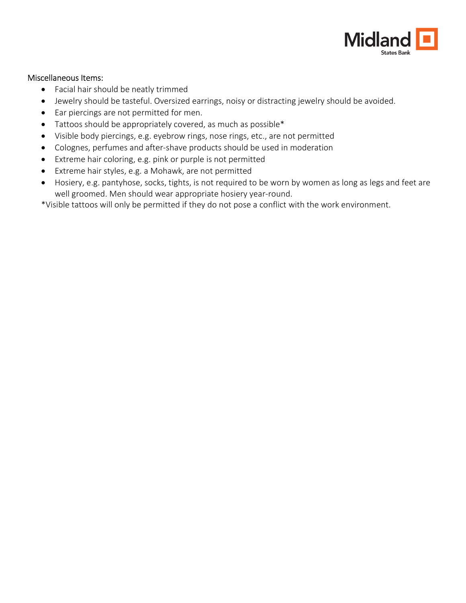

#### Miscellaneous Items:

- Facial hair should be neatly trimmed
- Jewelry should be tasteful. Oversized earrings, noisy or distracting jewelry should be avoided.
- Ear piercings are not permitted for men.
- Tattoos should be appropriately covered, as much as possible\*
- Visible body piercings, e.g. eyebrow rings, nose rings, etc., are not permitted
- Colognes, perfumes and after-shave products should be used in moderation
- Extreme hair coloring, e.g. pink or purple is not permitted
- Extreme hair styles, e.g. a Mohawk, are not permitted
- Hosiery, e.g. pantyhose, socks, tights, is not required to be worn by women as long as legs and feet are well groomed. Men should wear appropriate hosiery year-round.

\*Visible tattoos will only be permitted if they do not pose a conflict with the work environment.